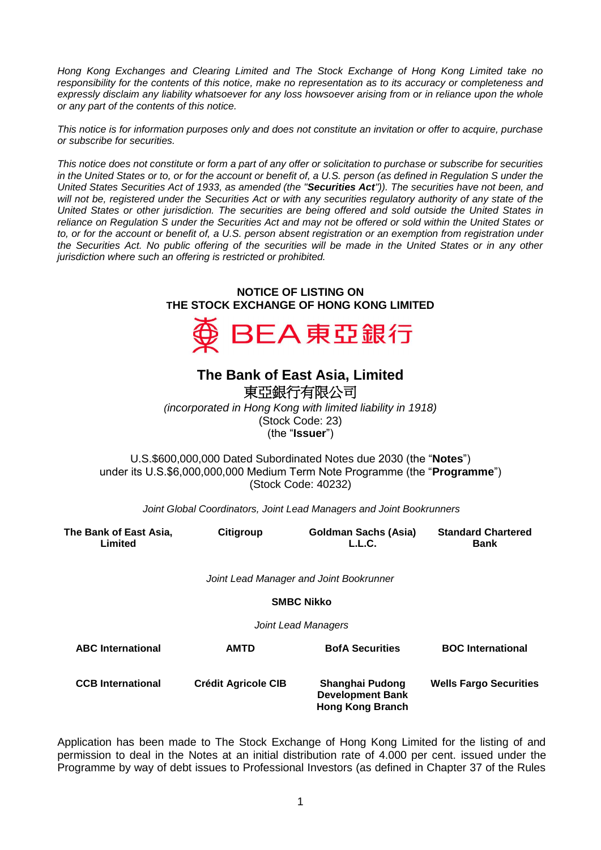*Hong Kong Exchanges and Clearing Limited and The Stock Exchange of Hong Kong Limited take no responsibility for the contents of this notice, make no representation as to its accuracy or completeness and*  expressly disclaim any liability whatsoever for any loss howsoever arising from or in reliance upon the whole *or any part of the contents of this notice.*

*This notice is for information purposes only and does not constitute an invitation or offer to acquire, purchase or subscribe for securities.*

*This notice does not constitute or form a part of any offer or solicitation to purchase or subscribe for securities in the United States or to, or for the account or benefit of, a U.S. person (as defined in Regulation S under the United States Securities Act of 1933, as amended (the "Securities Act")). The securities have not been, and will not be, registered under the Securities Act or with any securities regulatory authority of any state of the United States or other jurisdiction. The securities are being offered and sold outside the United States in reliance on Regulation S under the Securities Act and may not be offered or sold within the United States or to, or for the account or benefit of, a U.S. person absent registration or an exemption from registration under the Securities Act. No public offering of the securities will be made in the United States or in any other jurisdiction where such an offering is restricted or prohibited.*

## **NOTICE OF LISTING ON THE STOCK EXCHANGE OF HONG KONG LIMITED**



## **The Bank of East Asia, Limited**

東亞銀行有限公司

*(incorporated in Hong Kong with limited liability in 1918)* (Stock Code: 23) (the "**Issuer**")

U.S.\$600,000,000 Dated Subordinated Notes due 2030 (the "**Notes**") under its U.S.\$6,000,000,000 Medium Term Note Programme (the "**Programme**") (Stock Code: 40232)

*Joint Global Coordinators, Joint Lead Managers and Joint Bookrunners*

| The Bank of East Asia,<br>Limited | Citigroup                  | <b>Goldman Sachs (Asia)</b><br>L.L.C.                                 | <b>Standard Chartered</b><br><b>Bank</b> |
|-----------------------------------|----------------------------|-----------------------------------------------------------------------|------------------------------------------|
|                                   |                            | Joint Lead Manager and Joint Bookrunner                               |                                          |
|                                   |                            | <b>SMBC Nikko</b>                                                     |                                          |
|                                   |                            | Joint Lead Managers                                                   |                                          |
| <b>ABC</b> International          | <b>AMTD</b>                | <b>BofA Securities</b>                                                | <b>BOC</b> International                 |
| <b>CCB</b> International          | <b>Crédit Agricole CIB</b> | Shanghai Pudong<br><b>Development Bank</b><br><b>Hong Kong Branch</b> | <b>Wells Fargo Securities</b>            |

Application has been made to The Stock Exchange of Hong Kong Limited for the listing of and permission to deal in the Notes at an initial distribution rate of 4.000 per cent. issued under the Programme by way of debt issues to Professional Investors (as defined in Chapter 37 of the Rules